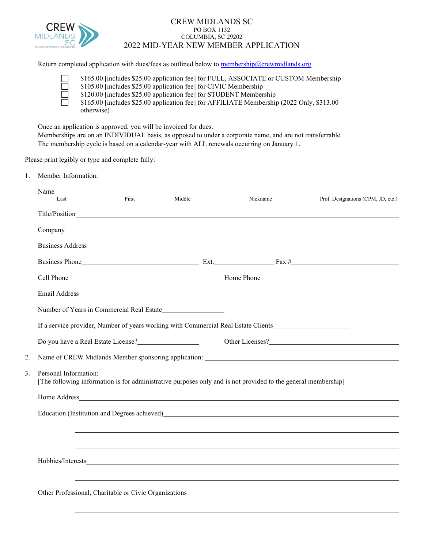

## CREW MIDLANDS SC PO BOX 1132 COLUMBIA, SC 29202 2022 MID-YEAR NEW MEMBER APPLICATION

Return completed application with dues/fees as outlined below to [membership@crewmidlands.org](mailto:membership@crewmidlands.org)

\$165.00 [includes \$25.00 application fee] for FULL, ASSOCIATE or CUSTOM Membership  $\Box$ \$105.00 [includes \$25.00 application fee] for CIVIC Membership \$120.00 [includes \$25.00 application fee] for STUDENT Membership ñ \$165.00 [includes \$25.00 application fee] for AFFILIATE Membership (2022 Only, \$313.00 otherwise)

Once an application is approved, you will be invoiced for dues.

Memberships are on an INDIVIDUAL basis, as opposed to under a corporate name, and are not transferrable. The membership cycle is based on a calendar-year with ALL renewals occurring on January 1.

Please print legibly or type and complete fully:

1. Member Information:

| Last                        | First | Middle                                                                          | Nickname                                                                                                                                                                                                                       | Prof. Designations (CPM, JD, etc.)                                                                                                                                                                                             |
|-----------------------------|-------|---------------------------------------------------------------------------------|--------------------------------------------------------------------------------------------------------------------------------------------------------------------------------------------------------------------------------|--------------------------------------------------------------------------------------------------------------------------------------------------------------------------------------------------------------------------------|
|                             |       |                                                                                 |                                                                                                                                                                                                                                |                                                                                                                                                                                                                                |
|                             |       |                                                                                 | Company company and the company of the company of the company of the company of the company of the company of the company of the company of the company of the company of the company of the company of the company of the com |                                                                                                                                                                                                                                |
|                             |       |                                                                                 |                                                                                                                                                                                                                                |                                                                                                                                                                                                                                |
|                             |       |                                                                                 |                                                                                                                                                                                                                                |                                                                                                                                                                                                                                |
|                             |       |                                                                                 |                                                                                                                                                                                                                                |                                                                                                                                                                                                                                |
|                             |       |                                                                                 |                                                                                                                                                                                                                                |                                                                                                                                                                                                                                |
|                             |       |                                                                                 |                                                                                                                                                                                                                                |                                                                                                                                                                                                                                |
|                             |       |                                                                                 | If a service provider, Number of years working with Commercial Real Estate Clients                                                                                                                                             |                                                                                                                                                                                                                                |
|                             |       | Do you have a Real Estate License?<br><u>Do you have a Real Estate License?</u> |                                                                                                                                                                                                                                | Other Licenses?                                                                                                                                                                                                                |
| 2.                          |       |                                                                                 |                                                                                                                                                                                                                                | Name of CREW Midlands Member sponsoring application:                                                                                                                                                                           |
| 3.<br>Personal Information: |       |                                                                                 | [The following information is for administrative purposes only and is not provided to the general membership]                                                                                                                  |                                                                                                                                                                                                                                |
|                             |       |                                                                                 |                                                                                                                                                                                                                                |                                                                                                                                                                                                                                |
|                             |       |                                                                                 |                                                                                                                                                                                                                                | Education (Institution and Degrees achieved) https://www.achieved.com/2010/01/2010 12:00:00 12:00:00 12:00:00 12:00:00 12:00:00 12:00:00 12:00:00 12:00:00 12:00:00 12:00:00 12:00:00 12:00:00 12:00:00 12:00:00 12:00:00 12:0 |
|                             |       |                                                                                 |                                                                                                                                                                                                                                |                                                                                                                                                                                                                                |
|                             |       |                                                                                 |                                                                                                                                                                                                                                | ,我们也不会有什么。""我们的人,我们也不会有什么?""我们的人,我们也不会有什么?""我们的人,我们也不会有什么?""我们的人,我们也不会有什么?""我们的人                                                                                                                                               |
|                             |       |                                                                                 |                                                                                                                                                                                                                                |                                                                                                                                                                                                                                |
|                             |       |                                                                                 |                                                                                                                                                                                                                                |                                                                                                                                                                                                                                |
|                             |       |                                                                                 |                                                                                                                                                                                                                                |                                                                                                                                                                                                                                |
|                             |       |                                                                                 |                                                                                                                                                                                                                                |                                                                                                                                                                                                                                |